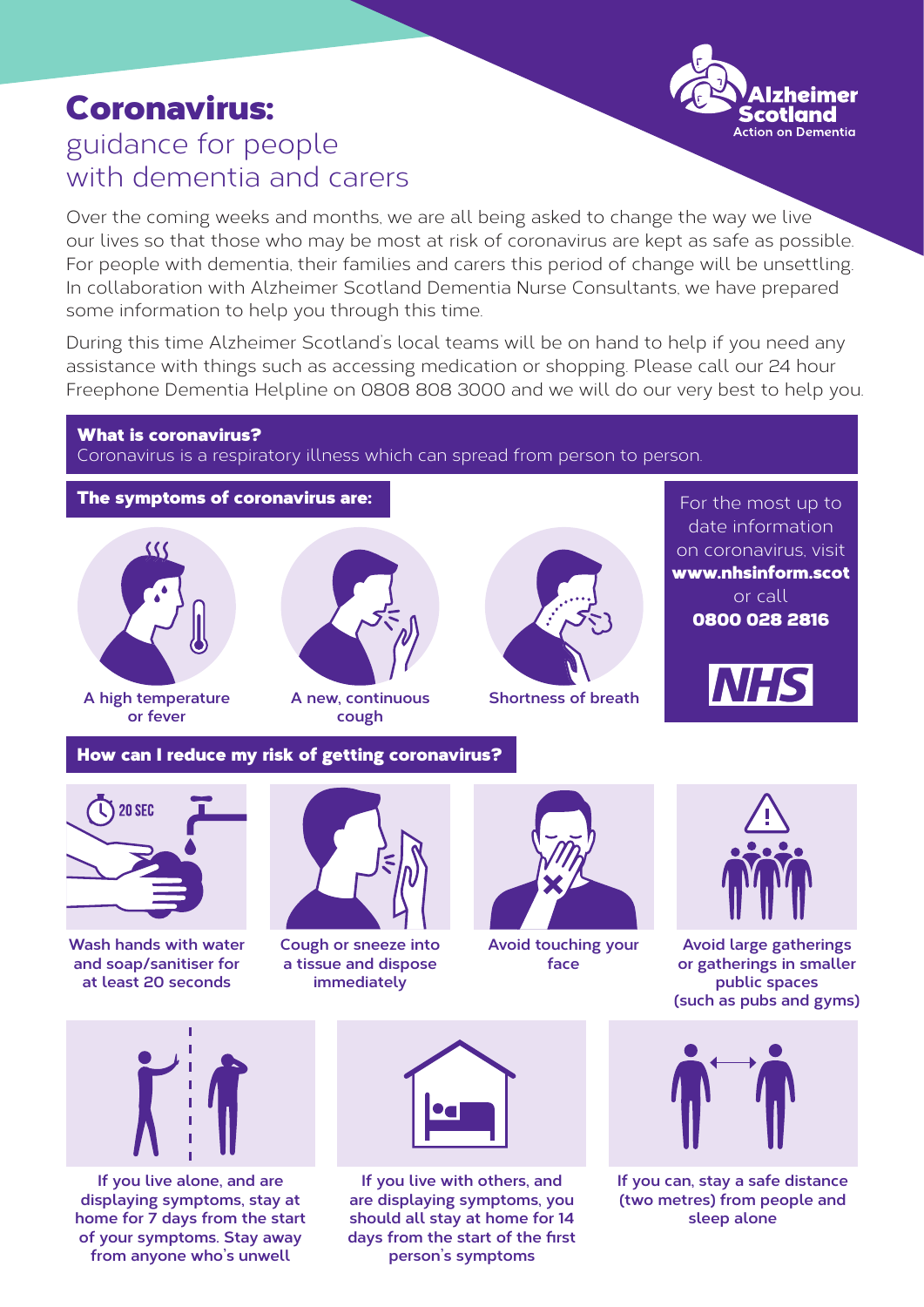# Coronavirus: guidance for people with dementia and carers

Over the coming weeks and months, we are all being asked to change the way we live our lives so that those who may be most at risk of coronavirus are kept as safe as possible. For people with dementia, their families and carers this period of change will be unsettling. In collaboration with Alzheimer Scotland Dementia Nurse Consultants, we have prepared some information to help you through this time.

During this time Alzheimer Scotland's local teams will be on hand to help if you need any assistance with things such as accessing medication or shopping. Please call our 24 hour Freephone Dementia Helpline on 0808 808 3000 and we will do our very best to help you.

# What is coronavirus? Coronavirus is a respiratory illness which can spread from person to person.The symptoms of coronavirus are: For the most up to date information on coronavirus, visit www.nhsinform.scot or call 0800 028 2816 **A high temperature A new, continuous Shortness of breath or fever cough** How can I reduce my risk of getting coronavirus? **20 SEC Wash hands with water Cough or sneeze into Avoid touching your Avoid large gatherings and soap/sanitiser for a tissue and dispose face or gatherings in smaller at least 20 seconds immediately public spaces (such as pubs and gyms)**

**If you live alone, and are displaying symptoms, stay at home for 7 days from the start of your symptoms. Stay away from anyone who's unwell**





**Izheimer cotland Action on Dementia**